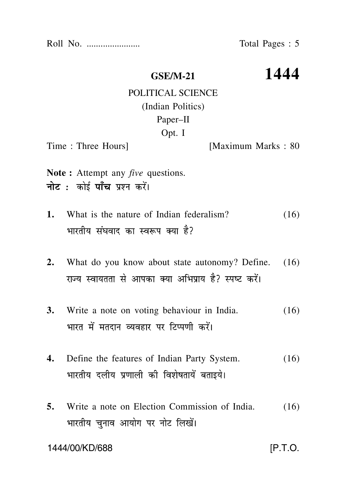Roll No. ....................... Total Pages : 5

**GSE/M-21 1444**

## POLITICAL SCIENCE (Indian Politics) Paper–II Opt. I

Time : Three Hours **I**Maximum Marks : 80

- **Note :** Attempt any *five* questions. नोट : कोई पाँच प्रश्न करें।
- **1.** What is the nature of Indian federalism? (16) भारतीय संघवाद का स्वरूप क्या है?
- **2.** What do you know about state autonomy? Define. (16) राज्य स्वायतता से आपका क्या अभिपाय है? स्पष्ट करें।
- **3.** Write a note on voting behaviour in India. (16) भारत में मतदान व्यवहार पर टिप्पणी करें।
- **4.** Define the features of Indian Party System. (16) भारतीय दलीय प्रणाली की विशेषतायें बताइये।
- **5.** Write a note on Election Commission of India. (16) भारतीय चनाव आयोग पर नोट लिखें।

1444/00/KD/688 [P.T.O.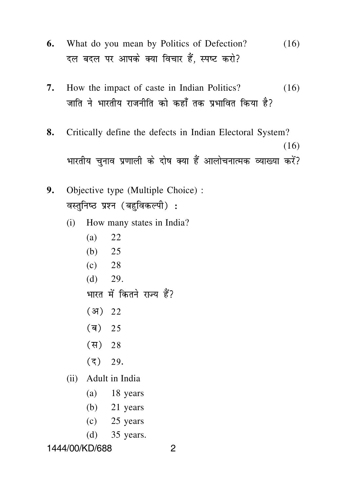- **6.** What do you mean by Politics of Defection? (16) दल बदल पर आपके क्या विचार हैं. स्पष्ट करो?
- **7.** How the impact of caste in Indian Politics? (16) जाति ने भारतीय राजनीति को कहाँ तक प्रभावित किया है?
- **8.** Critically define the defects in Indian Electoral System? (16) भारतीय चनाव प्रणाली के दोष क्या हैं आलोचनात्मक व्याख्या करें?
- **9.** Objective type (Multiple Choice) : वस्तुनिष्ठ प्रश्न (बहुविकल्पी):
	- (i) How many states in India?
		- (a) 22
		- (b) 25
		- $(c)$  28
		- $(d)$  29.

भारत में कितने राज्य हैं?

- $(31)$  22
- $(\bar{a})$  25
- $(\frac{\pi}{6})$  28
- $(3)$  29.
- (ii) Adult in India
	- (a) 18 years
	- (b) 21 years
	- $(c)$  25 years
	- (d) 35 years.

1444/00/KD/688 2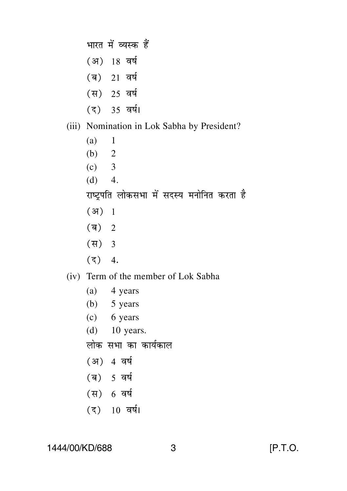भारत में व्यस्क हैं (अ) 18 वर्ष (ब) 21 वर्ष (स) 25 वर्ष (द) 35 वर्ष। (iii) Nomination in Lok Sabha by President?  $(a)$  1 (b)  $2$  $(c)$  3  $(d) 4.$ राष्ट्रपति लोकसभा में सदस्य मनोनित करता है  $(3) 1$  $(\overline{q})$  2  $(\overline{H})$  3  $(3)$  4.

- (iv) Term of the member of Lok Sabha
	- $(a)$  4 years
	- $(b)$  5 years
	- (c) 6 years
	- (d) 10 years.
	- लोक सभा का कार्यकाल
	- (अ) 4 वर्ष
	- (ब) 5 वर्ष
	- (स) 6 वर्ष
	- $(3)$  10 वर्ष।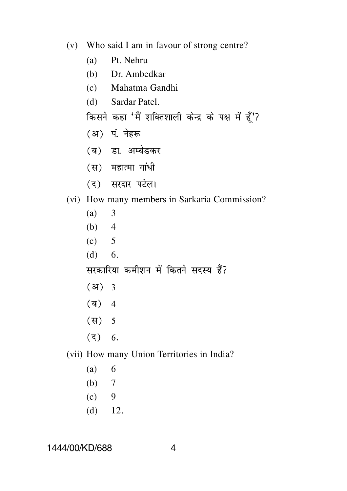- (v) Who said I am in favour of strong centre?
	- (a) Pt. Nehru
	- (b) Dr. Ambedkar
	- (c) Mahatma Gandhi
	- (d) Sardar Patel.

किसने कहा 'मैं शक्तिशाली केन्द्र के पक्ष में हूँ'?

- (अ) पं. नेहरू
- (ब) डा. अम्बेडकर
- (स) महात्मा गांधी
- (द) सरदार पटेल।
- (vi) How many members in Sarkaria Commission?
	- (a) 3
	- (b)  $4$
	- $(c) 5$
	- $(d) 6.$

सरकारिया कमीशन में कितने सदस्य हैं?

- $(37)$  3
- $(\overline{q})$  4
- $(\frac{\pi}{3})$  5
- $(5)$  6.
- (vii) How many Union Territories in India?
	- $(a) 6$
	- (b) 7
	- $(c)$  9
	- $(d)$  12.

1444/00/KD/688 4